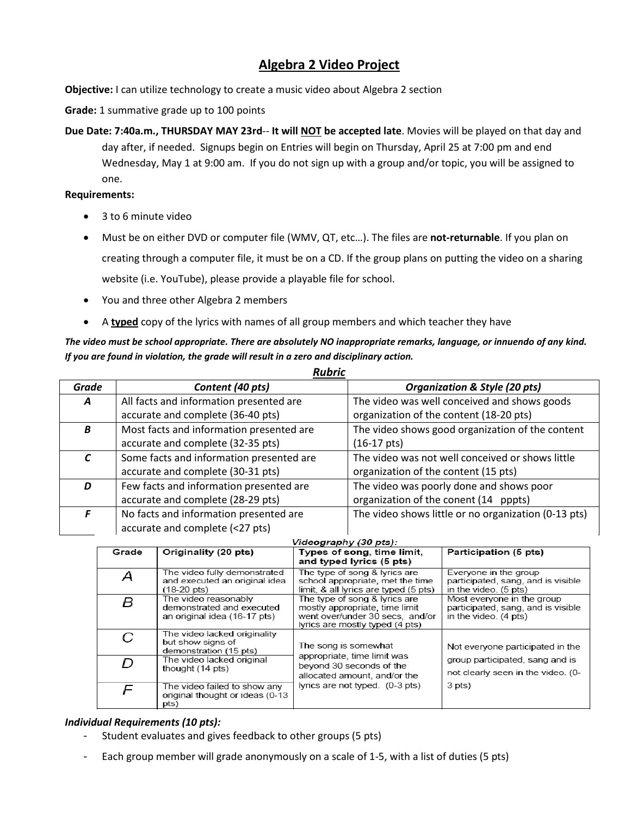# **Algebra 2 Video Project**

**Objective:** I can utilize technology to create a music video about Algebra 2 section

**Grade:** 1 summative grade up to 100 points

**Due Date: 7:40a.m., THURSDAY MAY 23rd**-- **It will NOT be accepted late**. Movies will be played on that day and day after, if needed. Signups begin on Entries will begin on Thursday, April 25 at 7:00 pm and end Wednesday, May 1 at 9:00 am. If you do not sign up with a group and/or topic, you will be assigned to one.

#### **Requirements:**

- 3 to 6 minute video
- Must be on either DVD or computer file (WMV, QT, etc…). The files are **not-returnable**. If you plan on creating through a computer file, it must be on a CD. If the group plans on putting the video on a sharing website (i.e. YouTube), please provide a playable file for school.
- You and three other Algebra 2 members
- A **typed** copy of the lyrics with names of all group members and which teacher they have

## *The video must be school appropriate. There are absolutely NO inappropriate remarks, language, or innuendo of any kind. If you are found in violation, the grade will result in a zero and disciplinary action.*

*Rubric*

| Grade | Content (40 pts)                         | <b>Organization &amp; Style (20 pts)</b>             |  |  |
|-------|------------------------------------------|------------------------------------------------------|--|--|
| A     | All facts and information presented are  | The video was well conceived and shows goods         |  |  |
|       | accurate and complete (36-40 pts)        | organization of the content (18-20 pts)              |  |  |
| B     | Most facts and information presented are | The video shows good organization of the content     |  |  |
|       | accurate and complete (32-35 pts)        | $(16-17 \text{ pts})$                                |  |  |
|       | Some facts and information presented are | The video was not well conceived or shows little     |  |  |
|       | accurate and complete (30-31 pts)        | organization of the content (15 pts)                 |  |  |
| D     | Few facts and information presented are  | The video was poorly done and shows poor             |  |  |
|       | accurate and complete (28-29 pts)        | organization of the conent (14 pppts)                |  |  |
|       | No facts and information presented are   | The video shows little or no organization (0-13 pts) |  |  |
|       | accurate and complete (<27 pts)          |                                                      |  |  |

| Videography (30 pts): |  |
|-----------------------|--|
|                       |  |

| Grade | Originality (20 pts)                                                                   | Types of song, time limit,<br>and typed lyrics (5 pts)                                                                                | Participation (5 pts)                                                                     |
|-------|----------------------------------------------------------------------------------------|---------------------------------------------------------------------------------------------------------------------------------------|-------------------------------------------------------------------------------------------|
| Α     | The video fully demonstrated<br>and executed an original idea<br>$(18-20 \text{ pts})$ | The type of song & lyrics are<br>school appropriate, met the time<br>limit, & all lyrics are typed (5 pts)                            | Everyone in the group<br>participated, sang, and is visible<br>in the video. (5 pts)      |
| В     | The video reasonably<br>demonstrated and executed<br>an original idea (16-17 pts)      | The type of song & Ivrics are<br>mostly appropriate, time limit<br>went over/under 30 secs, and/or<br>lyrics are mostly typed (4 pts) | Most everyone in the group<br>participated, sang, and is visible<br>in the video. (4 pts) |
| С     | The video lacked originality<br>but show signs of<br>demonstration (15 pts)            | The song is somewhat                                                                                                                  | Not everyone participated in the                                                          |
| D     | The video lacked original<br>thought (14 pts)                                          | appropriate, time limit was<br>beyond 30 seconds of the<br>allocated amount, and/or the                                               | group participated, sang and is<br>not clearly seen in the video. (0-                     |
| F     | The video failed to show any<br>original thought or ideas (0-13<br>pts)                | lyrics are not typed. (0-3 pts)                                                                                                       | 3 pts)                                                                                    |

### *Individual Requirements (10 pts):*

- Student evaluates and gives feedback to other groups (5 pts)
- Each group member will grade anonymously on a scale of 1-5, with a list of duties (5 pts)